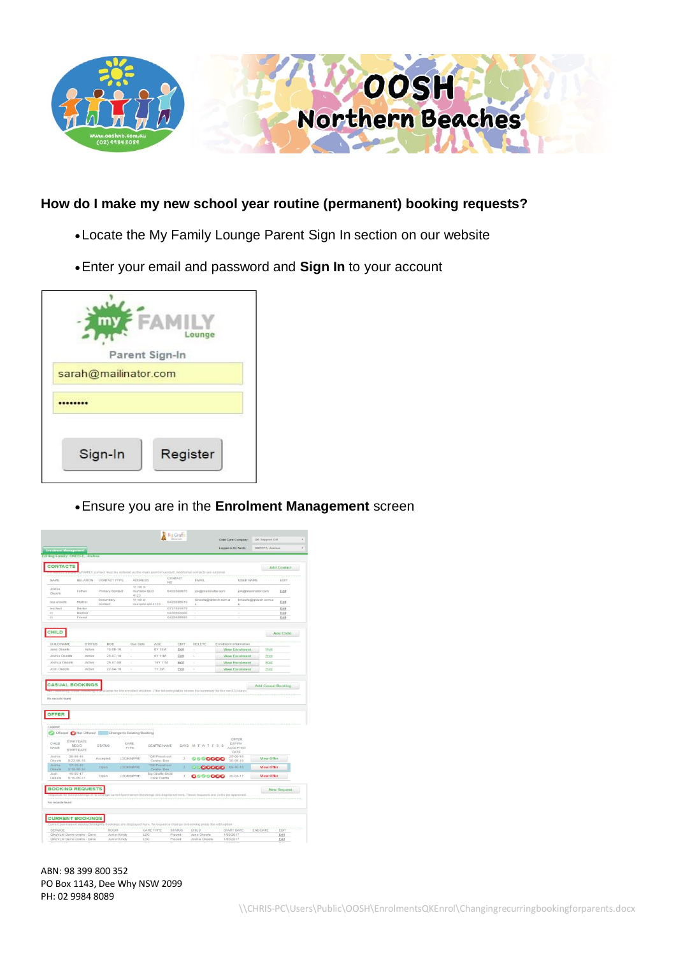

## **How do I make my new school year routine (permanent) booking requests?**

- Locate the My Family Lounge Parent Sign In section on our website
- Enter your email and password and **Sign In** to your account



Ensure you are in the **Enrolment Management** screen

|                                                                                                                                                                                       |                                                               |                      |                                    |                                    |                          |                                                                                                                                 | Child Care Company:                        | QK Support DB             |                    |
|---------------------------------------------------------------------------------------------------------------------------------------------------------------------------------------|---------------------------------------------------------------|----------------------|------------------------------------|------------------------------------|--------------------------|---------------------------------------------------------------------------------------------------------------------------------|--------------------------------------------|---------------------------|--------------------|
|                                                                                                                                                                                       | <b>Enrolment Management</b><br>Editing Family: OKEEFE, Joshua |                      |                                    |                                    |                          |                                                                                                                                 | Logged in for family                       | OKEEFE, Joshua            |                    |
|                                                                                                                                                                                       |                                                               |                      |                                    |                                    |                          |                                                                                                                                 |                                            |                           |                    |
| <b>CONTACTS</b>                                                                                                                                                                       |                                                               |                      |                                    |                                    |                          | FAMILY contact must be entered as the main point of contact. Additional contacts are optional                                   |                                            |                           | <b>Add Contact</b> |
|                                                                                                                                                                                       |                                                               |                      |                                    |                                    | CONTACT                  |                                                                                                                                 |                                            |                           |                    |
| NAME                                                                                                                                                                                  | <b>RELATION</b>                                               | CONTACT TYPE         | <b>ADDRESS</b>                     |                                    | NO                       | <b>EMAIL</b>                                                                                                                    | <b>USER NAME</b>                           |                           | EDIT               |
| Joshie<br>Okaefa                                                                                                                                                                      | Father                                                        | Primary Contact      | 11 hill st<br>murrarie QLD<br>4123 |                                    | 0432569870               | jok@mailinator.com                                                                                                              |                                            | jok@mailinator.com        | Edit               |
| lisa okeata                                                                                                                                                                           | Mother                                                        | Secondary<br>Contact | 11.bill st.                        | murrarie gld 4123                  | 0435698510               | lokeefe@qktech.com.a<br>$\mathbf{u}$                                                                                            | $\mathbf{u}$                               | tokeefe@qktech.com.a      | Edit               |
| test test                                                                                                                                                                             | Doctor                                                        |                      |                                    |                                    | 0731555879               | ¥                                                                                                                               | c                                          |                           | Edit               |
| 11<br>t t                                                                                                                                                                             | Brother<br>Friend                                             |                      |                                    |                                    | 0436966666<br>0435698885 | ÷                                                                                                                               | š                                          |                           | Edit<br>Edit       |
|                                                                                                                                                                                       |                                                               |                      |                                    |                                    |                          |                                                                                                                                 |                                            |                           |                    |
| <b>CHILD</b>                                                                                                                                                                          |                                                               |                      |                                    |                                    |                          |                                                                                                                                 |                                            |                           | Add Child          |
| CHILD NAME                                                                                                                                                                            | <b>STATUS</b>                                                 | DOB                  | Due Date                           | AGE                                | EDIT                     | DELETE                                                                                                                          | Enrolment information                      |                           |                    |
| Jane Okeefe                                                                                                                                                                           | Active                                                        | $15 - 08 - 16$       | ÷                                  | 0Y 10M                             | Edit                     | ×                                                                                                                               | <b>View Enrolment</b>                      | Print                     |                    |
| Joshie Okeele                                                                                                                                                                         | Active                                                        | $25 - 07 - 10$       | ä,                                 | 6Y 11M                             | Edit                     | ×                                                                                                                               | <b>View Enrolment</b>                      | Print                     |                    |
| Joshua Okeete                                                                                                                                                                         | Active                                                        | 25-07-00             | š                                  | 16Y 11M                            | Edit                     | s                                                                                                                               | <b>View Enrolment</b>                      | Print                     |                    |
| Josh Okeefe                                                                                                                                                                           | Active                                                        | $22 - 04 - 10$       | ÷                                  | <b>7Y 2M</b>                       | Edit                     | ÷                                                                                                                               | <b>View Enrolment</b>                      | Print                     |                    |
|                                                                                                                                                                                       | <b>CASUAL BOOKINGS</b>                                        |                      |                                    |                                    |                          | ailable for the enrolled children. (The following table shows the summary for the next 30 days)                                 |                                            | <b>Add Casual Booking</b> |                    |
|                                                                                                                                                                                       |                                                               |                      |                                    |                                    |                          |                                                                                                                                 |                                            |                           |                    |
|                                                                                                                                                                                       |                                                               |                      |                                    |                                    |                          |                                                                                                                                 |                                            |                           |                    |
|                                                                                                                                                                                       | Offered CoNot Offered Change to Existing Booking              |                      |                                    |                                    |                          |                                                                                                                                 |                                            |                           |                    |
|                                                                                                                                                                                       | START DATE<br><b>REQ'D</b><br>START DATE                      | <b>STATUS</b>        | CARE<br>TYPE                       | CENTRE NAME                        |                          | DAYS M T W T F S S                                                                                                              | OFFER<br><b>EXPIRY</b><br>ACCEPTED<br>DATE |                           |                    |
|                                                                                                                                                                                       | $30 - 08 - 16$<br>$3:22-08-16$                                | Accepted             | <b>LDC/KIN/PRE</b>                 | *QK Preschool<br>Centre-Dee        | $\dot{z}$                | 9990066                                                                                                                         | $25 - 09 - 16$<br>$30 - 08 - 16$           | View Offer                |                    |
|                                                                                                                                                                                       | $17 - 10 - 16$<br>$3.19 - 09 - 16$                            | Open                 | <b>LOC/KINPRE</b>                  | <b>'GK Preschool</b><br>Centre-Dee | ٥                        | <b>JU GOOGG</b>                                                                                                                 | $09 - 10 - 16$                             | <b>View Offer</b>         |                    |
|                                                                                                                                                                                       | $15 - 05 - 17$<br>$S:15-05-17$                                | Closin               | <b>LDC/KINFRE</b>                  | Big Giraffe Child<br>Care Centre   | $\overline{\phantom{a}}$ | 0000000                                                                                                                         | $20 - 04 - 17$                             | <b>View Offer</b>         |                    |
|                                                                                                                                                                                       | <b>REQUESTS</b>                                               |                      |                                    |                                    |                          | ange current permanent bookings are displayed here. These requests are yet to be approved                                       |                                            |                           | <b>New Request</b> |
|                                                                                                                                                                                       | <b>CURRENT BOOKINGS</b>                                       |                      |                                    |                                    |                          |                                                                                                                                 |                                            |                           |                    |
|                                                                                                                                                                                       |                                                               | ROOM                 |                                    | CARE TYPE                          | <b>STATUS</b>            | Current permanent weekly/fortnightly bookings are displayed here. To request a change in booking press the edit option<br>CHILD | START DATE                                 | END DATE                  | EDIT               |
| No records found<br><b>OFFER</b><br>Legend<br>CHILD<br><b>NAME</b><br>Joshie<br>Okeefe<br><b>Joshio</b><br>Olusafe<br>Josh<br>Okeafe<br><b>BOOKING</b><br>No records found<br>SERVICE | OKeYLM Demo centre - Dave                                     | <b>Junior Kindy</b>  |                                    | LDC                                | Placed                   | Jane Okeefe                                                                                                                     | 1/05/2017                                  |                           | Edit               |

ABN: 98 399 800 352 PO Box 1143, Dee Why NSW 2099 PH: 02 9984 8089